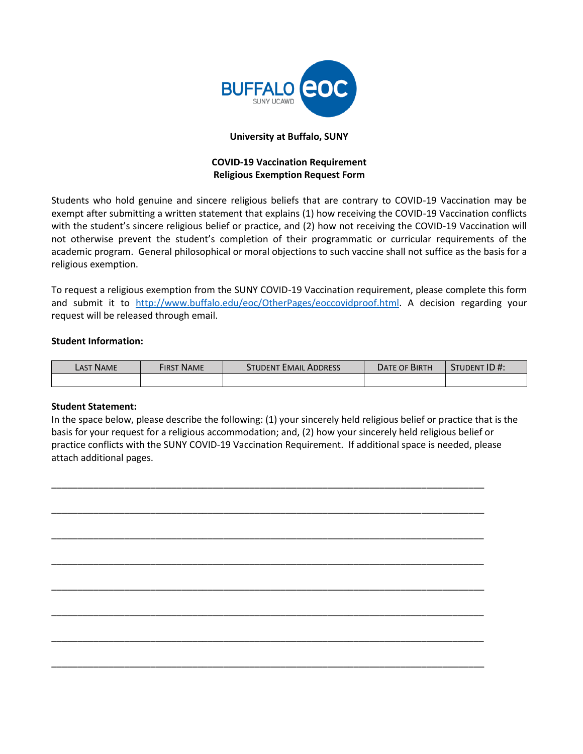

### **University at Buffalo, SUNY**

## **COVID-19 Vaccination Requirement Religious Exemption Request Form**

Students who hold genuine and sincere religious beliefs that are contrary to COVID-19 Vaccination may be exempt after submitting a written statement that explains (1) how receiving the COVID-19 Vaccination conflicts with the student's sincere religious belief or practice, and (2) how not receiving the COVID-19 Vaccination will not otherwise prevent the student's completion of their programmatic or curricular requirements of the academic program. General philosophical or moral objections to such vaccine shall not suffice as the basis for a religious exemption.

To request a religious exemption from the SUNY COVID-19 Vaccination requirement, please complete this form and submit it to [http://www.buffalo.edu/eoc/OtherPages/eoccovidproof.html.](http://www.buffalo.edu/eoc/OtherPages/eoccovidproof.html) A decision regarding your request will be released through email.

#### **Student Information:**

| <b>LAST NAME</b> | First Name | STUDENT EMAIL ADDRESS | DATE OF BIRTH | STUDENT ID#: |
|------------------|------------|-----------------------|---------------|--------------|
|                  |            |                       |               |              |

#### **Student Statement:**

In the space below, please describe the following: (1) your sincerely held religious belief or practice that is the basis for your request for a religious accommodation; and, (2) how your sincerely held religious belief or practice conflicts with the SUNY COVID-19 Vaccination Requirement. If additional space is needed, please attach additional pages.

\_\_\_\_\_\_\_\_\_\_\_\_\_\_\_\_\_\_\_\_\_\_\_\_\_\_\_\_\_\_\_\_\_\_\_\_\_\_\_\_\_\_\_\_\_\_\_\_\_\_\_\_\_\_\_\_\_\_\_\_\_\_\_\_\_\_\_\_\_\_\_\_\_\_\_\_\_\_\_\_\_\_\_

\_\_\_\_\_\_\_\_\_\_\_\_\_\_\_\_\_\_\_\_\_\_\_\_\_\_\_\_\_\_\_\_\_\_\_\_\_\_\_\_\_\_\_\_\_\_\_\_\_\_\_\_\_\_\_\_\_\_\_\_\_\_\_\_\_\_\_\_\_\_\_\_\_\_\_\_\_\_\_\_\_\_\_

\_\_\_\_\_\_\_\_\_\_\_\_\_\_\_\_\_\_\_\_\_\_\_\_\_\_\_\_\_\_\_\_\_\_\_\_\_\_\_\_\_\_\_\_\_\_\_\_\_\_\_\_\_\_\_\_\_\_\_\_\_\_\_\_\_\_\_\_\_\_\_\_\_\_\_\_\_\_\_\_\_\_\_

\_\_\_\_\_\_\_\_\_\_\_\_\_\_\_\_\_\_\_\_\_\_\_\_\_\_\_\_\_\_\_\_\_\_\_\_\_\_\_\_\_\_\_\_\_\_\_\_\_\_\_\_\_\_\_\_\_\_\_\_\_\_\_\_\_\_\_\_\_\_\_\_\_\_\_\_\_\_\_\_\_\_\_

\_\_\_\_\_\_\_\_\_\_\_\_\_\_\_\_\_\_\_\_\_\_\_\_\_\_\_\_\_\_\_\_\_\_\_\_\_\_\_\_\_\_\_\_\_\_\_\_\_\_\_\_\_\_\_\_\_\_\_\_\_\_\_\_\_\_\_\_\_\_\_\_\_\_\_\_\_\_\_\_\_\_\_

\_\_\_\_\_\_\_\_\_\_\_\_\_\_\_\_\_\_\_\_\_\_\_\_\_\_\_\_\_\_\_\_\_\_\_\_\_\_\_\_\_\_\_\_\_\_\_\_\_\_\_\_\_\_\_\_\_\_\_\_\_\_\_\_\_\_\_\_\_\_\_\_\_\_\_\_\_\_\_\_\_\_\_

\_\_\_\_\_\_\_\_\_\_\_\_\_\_\_\_\_\_\_\_\_\_\_\_\_\_\_\_\_\_\_\_\_\_\_\_\_\_\_\_\_\_\_\_\_\_\_\_\_\_\_\_\_\_\_\_\_\_\_\_\_\_\_\_\_\_\_\_\_\_\_\_\_\_\_\_\_\_\_\_\_\_\_

\_\_\_\_\_\_\_\_\_\_\_\_\_\_\_\_\_\_\_\_\_\_\_\_\_\_\_\_\_\_\_\_\_\_\_\_\_\_\_\_\_\_\_\_\_\_\_\_\_\_\_\_\_\_\_\_\_\_\_\_\_\_\_\_\_\_\_\_\_\_\_\_\_\_\_\_\_\_\_\_\_\_\_